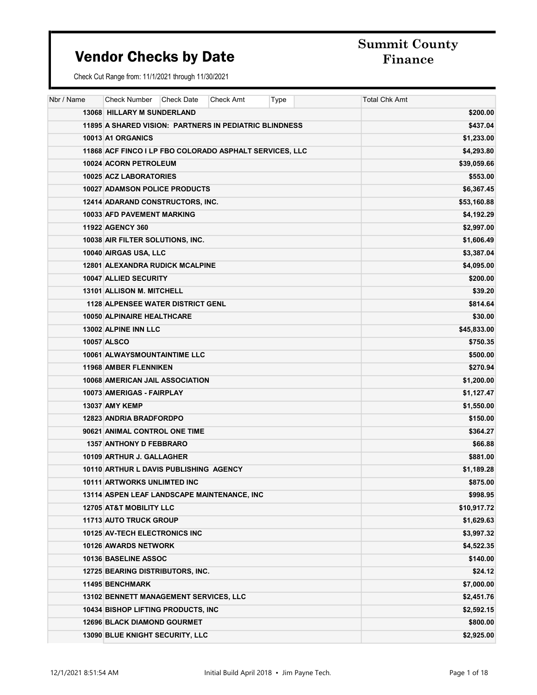# Summit County

| Nbr / Name | Check Number                                            | Check Date | Check Amt | Type | <b>Total Chk Amt</b> |
|------------|---------------------------------------------------------|------------|-----------|------|----------------------|
|            | 13068 HILLARY M SUNDERLAND                              |            |           |      | \$200.00             |
|            | 11895 A SHARED VISION: PARTNERS IN PEDIATRIC BLINDNESS  |            |           |      | \$437.04             |
|            | 10013 A1 ORGANICS                                       |            |           |      | \$1,233.00           |
|            | 11868 ACF FINCO I LP FBO COLORADO ASPHALT SERVICES, LLC |            |           |      | \$4,293.80           |
|            | 10024 ACORN PETROLEUM                                   |            |           |      | \$39,059.66          |
|            | 10025 ACZ LABORATORIES                                  |            |           |      | \$553.00             |
|            | <b>10027 ADAMSON POLICE PRODUCTS</b>                    |            |           |      | \$6,367.45           |
|            | 12414 ADARAND CONSTRUCTORS, INC.                        |            |           |      | \$53,160.88          |
|            | <b>10033 AFD PAVEMENT MARKING</b>                       |            |           |      | \$4,192.29           |
|            | <b>11922 AGENCY 360</b>                                 |            |           |      | \$2,997.00           |
|            | 10038 AIR FILTER SOLUTIONS, INC.                        |            |           |      | \$1,606.49           |
|            | 10040 AIRGAS USA, LLC                                   |            |           |      | \$3,387.04           |
|            | <b>12801 ALEXANDRA RUDICK MCALPINE</b>                  |            |           |      | \$4,095.00           |
|            | 10047 ALLIED SECURITY                                   |            |           |      | \$200.00             |
|            | <b>13101 ALLISON M. MITCHELL</b>                        |            |           |      | \$39.20              |
|            | <b>1128 ALPENSEE WATER DISTRICT GENL</b>                |            |           |      | \$814.64             |
|            | <b>10050 ALPINAIRE HEALTHCARE</b>                       |            |           |      | \$30.00              |
|            | 13002 ALPINE INN LLC                                    |            |           |      | \$45,833.00          |
|            | 10057 ALSCO                                             |            |           |      | \$750.35             |
|            | 10061 ALWAYSMOUNTAINTIME LLC                            |            |           |      | \$500.00             |
|            | <b>11968 AMBER FLENNIKEN</b>                            |            |           |      | \$270.94             |
|            | <b>10068 AMERICAN JAIL ASSOCIATION</b>                  |            |           |      | \$1,200.00           |
|            | 10073 AMERIGAS - FAIRPLAY                               |            |           |      | \$1,127.47           |
|            | <b>13037 AMY KEMP</b>                                   |            |           |      | \$1,550.00           |
|            | <b>12823 ANDRIA BRADFORDPO</b>                          |            |           |      | \$150.00             |
|            | 90621 ANIMAL CONTROL ONE TIME                           |            |           |      | \$364.27             |
|            | <b>1357 ANTHONY D FEBBRARO</b>                          |            |           |      | \$66.88              |
|            | 10109 ARTHUR J. GALLAGHER                               |            |           |      | \$881.00             |
|            | 10110 ARTHUR L DAVIS PUBLISHING AGENCY                  |            |           |      | \$1,189.28           |
|            | <b>10111 ARTWORKS UNLIMTED INC</b>                      |            |           |      | \$875.00             |
|            | 13114 ASPEN LEAF LANDSCAPE MAINTENANCE, INC             |            |           |      | \$998.95             |
|            | <b>12705 AT&amp;T MOBILITY LLC</b>                      |            |           |      | \$10,917.72          |
|            | 11713 AUTO TRUCK GROUP                                  |            |           |      | \$1,629.63           |
|            | 10125 AV-TECH ELECTRONICS INC                           |            |           |      | \$3,997.32           |
|            | <b>10126 AWARDS NETWORK</b>                             |            |           |      | \$4,522.35           |
|            | 10136 BASELINE ASSOC                                    |            |           |      | \$140.00             |
|            | 12725 BEARING DISTRIBUTORS, INC.                        |            |           |      | \$24.12              |
|            | <b>11495 BENCHMARK</b>                                  |            |           |      | \$7,000.00           |
|            | 13102 BENNETT MANAGEMENT SERVICES, LLC                  |            |           |      | \$2,451.76           |
|            | 10434 BISHOP LIFTING PRODUCTS, INC                      |            |           |      | \$2,592.15           |
|            | <b>12696 BLACK DIAMOND GOURMET</b>                      |            |           |      | \$800.00             |
|            | 13090 BLUE KNIGHT SECURITY, LLC                         |            |           |      | \$2,925.00           |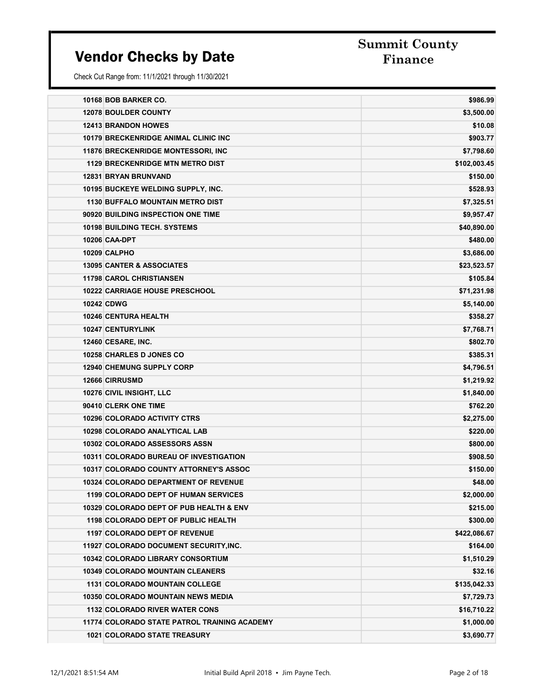# Summit County

| 10168 BOB BARKER CO.                         | \$986.99     |
|----------------------------------------------|--------------|
| <b>12078 BOULDER COUNTY</b>                  | \$3,500.00   |
| <b>12413 BRANDON HOWES</b>                   | \$10.08      |
| <b>10179 BRECKENRIDGE ANIMAL CLINIC INC</b>  | \$903.77     |
| <b>11876 BRECKENRIDGE MONTESSORI. INC</b>    | \$7,798.60   |
| <b>1129 BRECKENRIDGE MTN METRO DIST</b>      | \$102,003.45 |
| <b>12831 BRYAN BRUNVAND</b>                  | \$150.00     |
| 10195 BUCKEYE WELDING SUPPLY, INC.           | \$528.93     |
| <b>1130 BUFFALO MOUNTAIN METRO DIST</b>      | \$7,325.51   |
| 90920 BUILDING INSPECTION ONE TIME           | \$9,957.47   |
| <b>10198 BUILDING TECH, SYSTEMS</b>          | \$40,890.00  |
| <b>10206 CAA-DPT</b>                         | \$480.00     |
| <b>10209 CALPHO</b>                          | \$3,686.00   |
| <b>13095 CANTER &amp; ASSOCIATES</b>         | \$23,523.57  |
| <b>11798 CAROL CHRISTIANSEN</b>              | \$105.84     |
| 10222 CARRIAGE HOUSE PRESCHOOL               | \$71,231.98  |
| <b>10242 CDWG</b>                            | \$5,140.00   |
| <b>10246 CENTURA HEALTH</b>                  | \$358.27     |
| 10247 CENTURYLINK                            | \$7,768.71   |
| 12460 CESARE, INC.                           | \$802.70     |
| 10258 CHARLES D JONES CO                     | \$385.31     |
| <b>12940 CHEMUNG SUPPLY CORP</b>             | \$4,796.51   |
| <b>12666 CIRRUSMD</b>                        | \$1,219.92   |
| 10276 CIVIL INSIGHT, LLC                     | \$1,840.00   |
| 90410 CLERK ONE TIME                         | \$762.20     |
| <b>10296 COLORADO ACTIVITY CTRS</b>          | \$2,275.00   |
| 10298 COLORADO ANALYTICAL LAB                | \$220.00     |
| 10302 COLORADO ASSESSORS ASSN                | \$800.00     |
| 10311 COLORADO BUREAU OF INVESTIGATION       | \$908.50     |
| 10317 COLORADO COUNTY ATTORNEY'S ASSOC       | \$150.00     |
| <b>10324 COLORADO DEPARTMENT OF REVENUE</b>  | \$48.00      |
| <b>1199 COLORADO DEPT OF HUMAN SERVICES</b>  | \$2,000.00   |
| 10329 COLORADO DEPT OF PUB HEALTH & ENV      | \$215.00     |
| <b>1198 COLORADO DEPT OF PUBLIC HEALTH</b>   | \$300.00     |
| <b>1197 COLORADO DEPT OF REVENUE</b>         | \$422,086.67 |
| 11927 COLORADO DOCUMENT SECURITY, INC.       | \$164.00     |
| <b>10342 COLORADO LIBRARY CONSORTIUM</b>     | \$1,510.29   |
| <b>10349 COLORADO MOUNTAIN CLEANERS</b>      | \$32.16      |
| <b>1131 COLORADO MOUNTAIN COLLEGE</b>        | \$135,042.33 |
| 10350 COLORADO MOUNTAIN NEWS MEDIA           | \$7,729.73   |
| <b>1132 COLORADO RIVER WATER CONS</b>        | \$16,710.22  |
| 11774 COLORADO STATE PATROL TRAINING ACADEMY | \$1,000.00   |
| <b>1021 COLORADO STATE TREASURY</b>          | \$3,690.77   |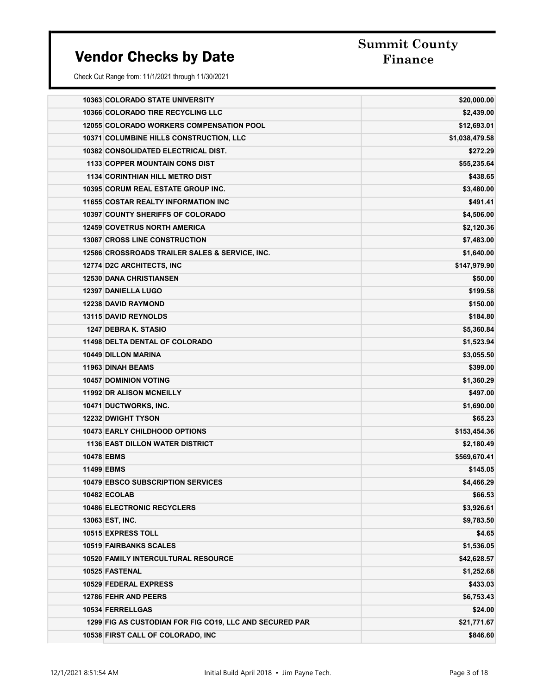# Summit County

|                   | <b>10363 COLORADO STATE UNIVERSITY</b>                  | \$20,000.00    |
|-------------------|---------------------------------------------------------|----------------|
|                   | 10366 COLORADO TIRE RECYCLING LLC                       | \$2,439.00     |
|                   | <b>12055 COLORADO WORKERS COMPENSATION POOL</b>         | \$12,693.01    |
|                   | <b>10371 COLUMBINE HILLS CONSTRUCTION, LLC</b>          | \$1,038,479.58 |
|                   | 10382 CONSOLIDATED ELECTRICAL DIST.                     | \$272.29       |
|                   | <b>1133 COPPER MOUNTAIN CONS DIST</b>                   | \$55,235.64    |
|                   | <b>1134 CORINTHIAN HILL METRO DIST</b>                  | \$438.65       |
|                   | 10395 CORUM REAL ESTATE GROUP INC.                      | \$3,480.00     |
|                   | <b>11655 COSTAR REALTY INFORMATION INC</b>              | \$491.41       |
|                   | <b>10397 COUNTY SHERIFFS OF COLORADO</b>                | \$4,506.00     |
|                   | <b>12459 COVETRUS NORTH AMERICA</b>                     | \$2,120.36     |
|                   | <b>13087 CROSS LINE CONSTRUCTION</b>                    | \$7,483.00     |
|                   | 12586 CROSSROADS TRAILER SALES & SERVICE, INC.          | \$1,640.00     |
|                   | 12774 D2C ARCHITECTS, INC                               | \$147,979.90   |
|                   | <b>12530 DANA CHRISTIANSEN</b>                          | \$50.00        |
|                   | 12397 DANIELLA LUGO                                     | \$199.58       |
|                   | <b>12238 DAVID RAYMOND</b>                              | \$150.00       |
|                   | 13115 DAVID REYNOLDS                                    | \$184.80       |
|                   | 1247 DEBRA K. STASIO                                    | \$5,360.84     |
|                   | <b>11498 DELTA DENTAL OF COLORADO</b>                   | \$1,523.94     |
|                   | <b>10449 DILLON MARINA</b>                              | \$3,055.50     |
|                   | <b>11963 DINAH BEAMS</b>                                | \$399.00       |
|                   | <b>10457 DOMINION VOTING</b>                            | \$1,360.29     |
|                   | <b>11992 DR ALISON MCNEILLY</b>                         | \$497.00       |
|                   | 10471 DUCTWORKS, INC.                                   | \$1,690.00     |
|                   | <b>12232 DWIGHT TYSON</b>                               | \$65.23        |
|                   | <b>10473 EARLY CHILDHOOD OPTIONS</b>                    | \$153,454.36   |
|                   | <b>1136 EAST DILLON WATER DISTRICT</b>                  | \$2,180.49     |
| <b>10478 EBMS</b> |                                                         | \$569,670.41   |
| <b>11499 EBMS</b> |                                                         | \$145.05       |
|                   | <b>10479 EBSCO SUBSCRIPTION SERVICES</b>                | \$4,466.29     |
|                   | 10482 ECOLAB                                            | \$66.53        |
|                   | <b>10486 ELECTRONIC RECYCLERS</b>                       | \$3,926.61     |
|                   | 13063 EST, INC.                                         | \$9,783.50     |
|                   | 10515 EXPRESS TOLL                                      | \$4.65         |
|                   | <b>10519 FAIRBANKS SCALES</b>                           | \$1,536.05     |
|                   | <b>10520 FAMILY INTERCULTURAL RESOURCE</b>              | \$42,628.57    |
|                   | 10525 FASTENAL                                          | \$1,252.68     |
|                   | 10529 FEDERAL EXPRESS                                   | \$433.03       |
|                   | <b>12786 FEHR AND PEERS</b>                             | \$6,753.43     |
|                   | 10534 FERRELLGAS                                        | \$24.00        |
|                   | 1299 FIG AS CUSTODIAN FOR FIG CO19, LLC AND SECURED PAR | \$21,771.67    |
|                   | 10538 FIRST CALL OF COLORADO, INC                       | \$846.60       |
|                   |                                                         |                |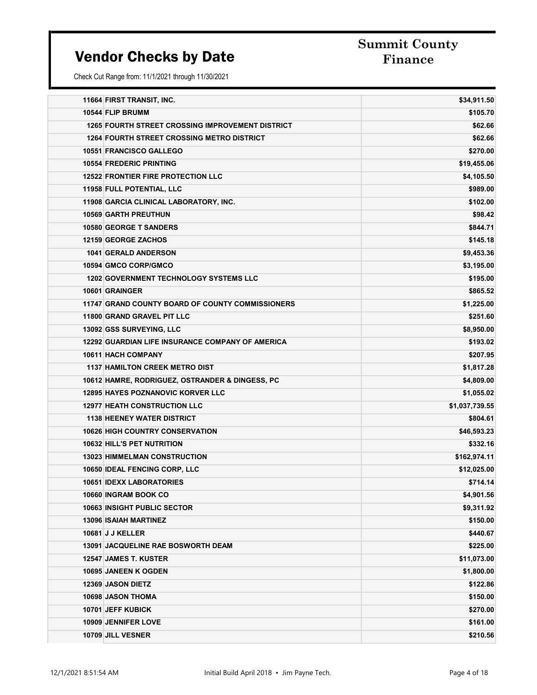# Summit County

| 11664 FIRST TRANSIT, INC.                               | \$34,911.50    |
|---------------------------------------------------------|----------------|
| 10544 FLIP BRUMM                                        | \$105.70       |
| <b>1265 FOURTH STREET CROSSING IMPROVEMENT DISTRICT</b> | \$62.66        |
| <b>1264 FOURTH STREET CROSSING METRO DISTRICT</b>       | \$62.66        |
| 10551 FRANCISCO GALLEGO                                 | \$270.00       |
| <b>10554 FREDERIC PRINTING</b>                          | \$19,455.06    |
| <b>12522 FRONTIER FIRE PROTECTION LLC</b>               | \$4,105.50     |
| 11958 FULL POTENTIAL, LLC                               | \$989.00       |
| 11908 GARCIA CLINICAL LABORATORY, INC.                  | \$102.00       |
| <b>10569 GARTH PREUTHUN</b>                             | \$98.42        |
| <b>10580 GEORGE T SANDERS</b>                           | \$844.71       |
| <b>12159 GEORGE ZACHOS</b>                              | \$145.18       |
| <b>1041 GERALD ANDERSON</b>                             | \$9,453.36     |
| 10594 GMCO CORP/GMCO                                    | \$3,195.00     |
| <b>1202 GOVERNMENT TECHNOLOGY SYSTEMS LLC</b>           | \$195.00       |
| 10601 GRAINGER                                          | \$865.52       |
| 11747 GRAND COUNTY BOARD OF COUNTY COMMISSIONERS        | \$1,225.00     |
| 11800 GRAND GRAVEL PIT LLC                              | \$251.60       |
| 13092 GSS SURVEYING, LLC                                | \$8,950.00     |
| <b>12292 GUARDIAN LIFE INSURANCE COMPANY OF AMERICA</b> | \$193.02       |
| <b>10611 HACH COMPANY</b>                               | \$207.95       |
| <b>1137 HAMILTON CREEK METRO DIST</b>                   | \$1,817.28     |
| 10612 HAMRE, RODRIGUEZ, OSTRANDER & DINGESS, PC         | \$4,809.00     |
| <b>12895 HAYES POZNANOVIC KORVER LLC</b>                | \$1,055.02     |
| <b>12977 HEATH CONSTRUCTION LLC</b>                     | \$1,037,739.55 |
| <b>1138 HEENEY WATER DISTRICT</b>                       | \$804.61       |
| <b>10626 HIGH COUNTRY CONSERVATION</b>                  | \$46,593.23    |
| 10632 HILL'S PET NUTRITION                              | \$332.16       |
| <b>13023 HIMMELMAN CONSTRUCTION</b>                     | \$162,974.11   |
| 10650 IDEAL FENCING CORP, LLC                           | \$12,025.00    |
| <b>10651 IDEXX LABORATORIES</b>                         | \$714.14       |
| 10660 INGRAM BOOK CO                                    | \$4,901.56     |
| <b>10663 INSIGHT PUBLIC SECTOR</b>                      | \$9,311.92     |
| <b>13096 ISAIAH MARTINEZ</b>                            | \$150.00       |
| 10681 J J KELLER                                        | \$440.67       |
| <b>13091 JACQUELINE RAE BOSWORTH DEAM</b>               | \$225.00       |
| 12547 JAMES T. KUSTER                                   | \$11,073.00    |
| 10695 JANEEN K OGDEN                                    | \$1,800.00     |
| <b>12369 JASON DIETZ</b>                                | \$122.86       |
| 10698 JASON THOMA                                       | \$150.00       |
| 10701 JEFF KUBICK                                       | \$270.00       |
| <b>10909 JENNIFER LOVE</b>                              | \$161.00       |
| 10709 JILL VESNER                                       | \$210.56       |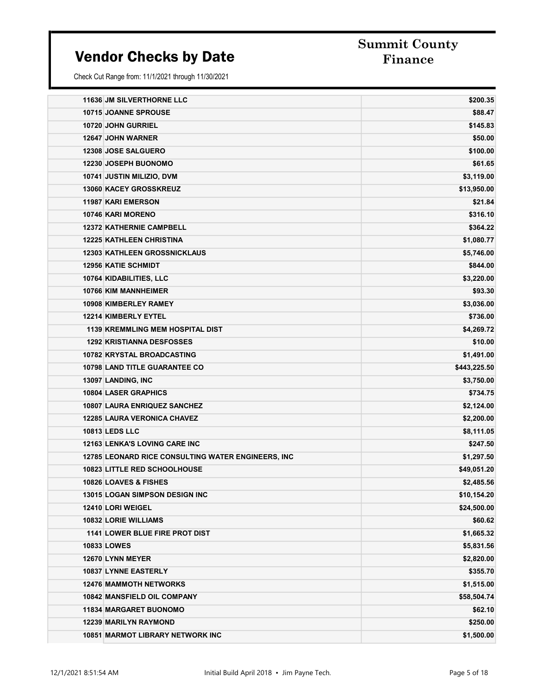# Summit County

| <b>11636 JM SILVERTHORNE LLC</b>                   | \$200.35     |
|----------------------------------------------------|--------------|
| <b>10715 JOANNE SPROUSE</b>                        | \$88.47      |
| 10720 JOHN GURRIEL                                 | \$145.83     |
| <b>12647 JOHN WARNER</b>                           | \$50.00      |
| 12308 JOSE SALGUERO                                | \$100.00     |
| 12230 JOSEPH BUONOMO                               | \$61.65      |
| 10741 JUSTIN MILIZIO, DVM                          | \$3,119.00   |
| <b>13060 KACEY GROSSKREUZ</b>                      | \$13,950.00  |
| 11987 KARI EMERSON                                 | \$21.84      |
| <b>10746 KARI MORENO</b>                           | \$316.10     |
| <b>12372 KATHERNIE CAMPBELL</b>                    | \$364.22     |
| <b>12225 KATHLEEN CHRISTINA</b>                    | \$1,080.77   |
| <b>12303 KATHLEEN GROSSNICKLAUS</b>                | \$5,746.00   |
| <b>12956 KATIE SCHMIDT</b>                         | \$844.00     |
| 10764 KIDABILITIES, LLC                            | \$3,220.00   |
| <b>10766 KIM MANNHEIMER</b>                        | \$93.30      |
| 10908 KIMBERLEY RAMEY                              | \$3,036.00   |
| 12214 KIMBERLY EYTEL                               | \$736.00     |
| <b>1139 KREMMLING MEM HOSPITAL DIST</b>            | \$4,269.72   |
| <b>1292 KRISTIANNA DESFOSSES</b>                   | \$10.00      |
| 10782 KRYSTAL BROADCASTING                         | \$1,491.00   |
| <b>10798 LAND TITLE GUARANTEE CO</b>               | \$443,225.50 |
| 13097 LANDING, INC                                 | \$3,750.00   |
| <b>10804 LASER GRAPHICS</b>                        | \$734.75     |
| 10807 LAURA ENRIQUEZ SANCHEZ                       | \$2,124.00   |
| <b>12285 LAURA VERONICA CHAVEZ</b>                 | \$2,200.00   |
| <b>10813 LEDS LLC</b>                              | \$8,111.05   |
| <b>12163 LENKA'S LOVING CARE INC</b>               | \$247.50     |
| 12785 LEONARD RICE CONSULTING WATER ENGINEERS, INC | \$1,297.50   |
| <b>10823 LITTLE RED SCHOOLHOUSE</b>                | \$49,051.20  |
| 10826 LOAVES & FISHES                              | \$2,485.56   |
| 13015 LOGAN SIMPSON DESIGN INC                     | \$10,154.20  |
| <b>12410 LORI WEIGEL</b>                           | \$24,500.00  |
| 10832 LORIE WILLIAMS                               | \$60.62      |
| <b>1141 LOWER BLUE FIRE PROT DIST</b>              | \$1,665.32   |
| <b>10833 LOWES</b>                                 | \$5,831.56   |
| 12670 LYNN MEYER                                   | \$2,820.00   |
| 10837 LYNNE EASTERLY                               | \$355.70     |
| <b>12476 MAMMOTH NETWORKS</b>                      | \$1,515.00   |
| 10842 MANSFIELD OIL COMPANY                        | \$58,504.74  |
| <b>11834 MARGARET BUONOMO</b>                      | \$62.10      |
| <b>12239 MARILYN RAYMOND</b>                       | \$250.00     |
| <b>10851 MARMOT LIBRARY NETWORK INC</b>            | \$1,500.00   |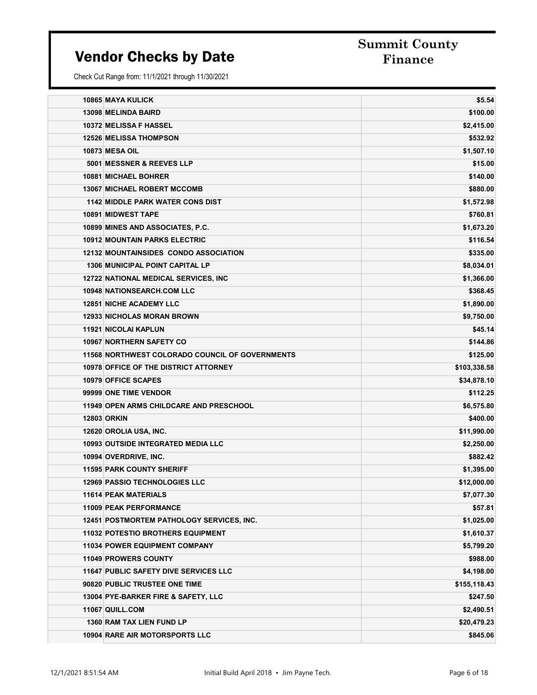# Summit County

| <b>10865 MAYA KULICK</b>                               | \$5.54       |
|--------------------------------------------------------|--------------|
| <b>13098 MELINDA BAIRD</b>                             | \$100.00     |
| 10372 MELISSA F HASSEL                                 | \$2,415.00   |
| <b>12526 MELISSA THOMPSON</b>                          | \$532.92     |
| <b>10873 MESA OIL</b>                                  | \$1,507.10   |
| 5001 MESSNER & REEVES LLP                              | \$15.00      |
| 10881 MICHAEL BOHRER                                   | \$140.00     |
| <b>13067 MICHAEL ROBERT MCCOMB</b>                     | \$880.00     |
| <b>1142 MIDDLE PARK WATER CONS DIST</b>                | \$1,572.98   |
| 10891 MIDWEST TAPE                                     | \$760.81     |
| 10899 MINES AND ASSOCIATES, P.C.                       | \$1,673.20   |
| <b>10912 MOUNTAIN PARKS ELECTRIC</b>                   | \$116.54     |
| <b>12132 MOUNTAINSIDES CONDO ASSOCIATION</b>           | \$335.00     |
| <b>1306 MUNICIPAL POINT CAPITAL LP</b>                 | \$8,034.01   |
| <b>12722 NATIONAL MEDICAL SERVICES, INC</b>            | \$1,366.00   |
| <b>10948 NATIONSEARCH.COM LLC</b>                      | \$368.45     |
| <b>12851 NICHE ACADEMY LLC</b>                         | \$1,890.00   |
| <b>12933 NICHOLAS MORAN BROWN</b>                      | \$9,750.00   |
| <b>11921 NICOLAI KAPLUN</b>                            | \$45.14      |
| <b>10967 NORTHERN SAFETY CO</b>                        | \$144.86     |
| <b>11568 NORTHWEST COLORADO COUNCIL OF GOVERNMENTS</b> | \$125.00     |
| <b>10978 OFFICE OF THE DISTRICT ATTORNEY</b>           | \$103,338.58 |
| <b>10979 OFFICE SCAPES</b>                             | \$34,878.10  |
| 99999 ONE TIME VENDOR                                  | \$112.25     |
| <b>11949 OPEN ARMS CHILDCARE AND PRESCHOOL</b>         | \$6,575.80   |
| <b>12803 ORKIN</b>                                     | \$400.00     |
| 12620 OROLIA USA, INC.                                 | \$11,990.00  |
| <b>10993 OUTSIDE INTEGRATED MEDIA LLC</b>              | \$2,250.00   |
| 10994 OVERDRIVE, INC.                                  | \$882.42     |
| <b>11595 PARK COUNTY SHERIFF</b>                       | \$1,395.00   |
| <b>12969 PASSIO TECHNOLOGIES LLC</b>                   | \$12,000.00  |
| <b>11614 PEAK MATERIALS</b>                            | \$7,077.30   |
| <b>11009 PEAK PERFORMANCE</b>                          | \$57.81      |
| <b>12451 POSTMORTEM PATHOLOGY SERVICES, INC.</b>       | \$1,025.00   |
| <b>11032 POTESTIO BROTHERS EQUIPMENT</b>               | \$1,610.37   |
| <b>11034 POWER EQUIPMENT COMPANY</b>                   | \$5,799.20   |
| 11049 PROWERS COUNTY                                   | \$988.00     |
| <b>11647 PUBLIC SAFETY DIVE SERVICES LLC</b>           | \$4,198.00   |
| 90820 PUBLIC TRUSTEE ONE TIME                          | \$155,118.43 |
| 13004 PYE-BARKER FIRE & SAFETY, LLC                    | \$247.50     |
| 11067 QUILL.COM                                        | \$2,490.51   |
| <b>1360 RAM TAX LIEN FUND LP</b>                       | \$20,479.23  |
| <b>10904 RARE AIR MOTORSPORTS LLC</b>                  | \$845.06     |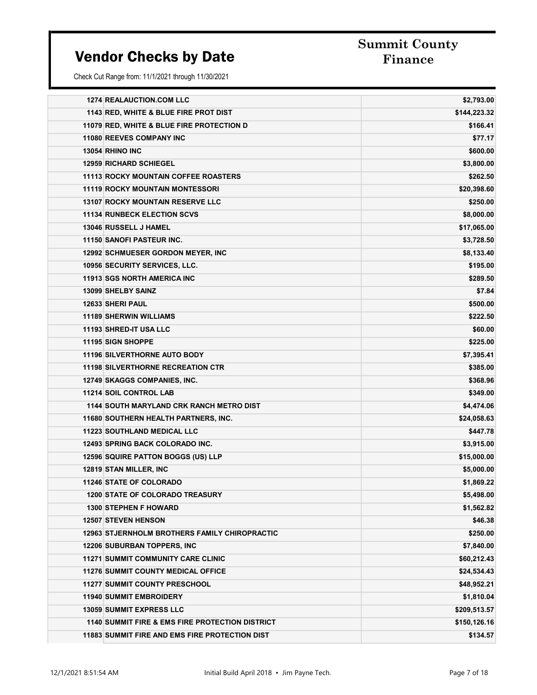Summit County

| <b>1274 REALAUCTION.COM LLC</b>                            | \$2,793.00   |
|------------------------------------------------------------|--------------|
| 1143 RED, WHITE & BLUE FIRE PROT DIST                      | \$144,223.32 |
| 11079 RED, WHITE & BLUE FIRE PROTECTION D                  | \$166.41     |
| <b>11080 REEVES COMPANY INC</b>                            | \$77.17      |
| 13054 RHINO INC                                            | \$600.00     |
| <b>12959 RICHARD SCHIEGEL</b>                              | \$3,800.00   |
| <b>11113 ROCKY MOUNTAIN COFFEE ROASTERS</b>                | \$262.50     |
| <b>11119 ROCKY MOUNTAIN MONTESSORI</b>                     | \$20,398.60  |
| <b>13107 ROCKY MOUNTAIN RESERVE LLC</b>                    | \$250.00     |
| <b>11134 RUNBECK ELECTION SCVS</b>                         | \$8,000.00   |
| 13046 RUSSELL J HAMEL                                      | \$17,065.00  |
| 11150 SANOFI PASTEUR INC.                                  | \$3,728.50   |
| <b>12992 SCHMUESER GORDON MEYER, INC</b>                   | \$8,133.40   |
| 10956 SECURITY SERVICES, LLC.                              | \$195.00     |
| <b>11913 SGS NORTH AMERICA INC.</b>                        | \$289.50     |
| <b>13099 SHELBY SAINZ</b>                                  | \$7.84       |
| <b>12633 SHERI PAUL</b>                                    | \$500.00     |
| <b>11189 SHERWIN WILLIAMS</b>                              | \$222.50     |
| 11193 SHRED-IT USA LLC                                     | \$60.00      |
| 11195 SIGN SHOPPE                                          | \$225.00     |
| <b>11196 SILVERTHORNE AUTO BODY</b>                        | \$7,395.41   |
| <b>11198 SILVERTHORNE RECREATION CTR</b>                   | \$385.00     |
| 12749 SKAGGS COMPANIES, INC.                               | \$368.96     |
| <b>11214 SOIL CONTROL LAB</b>                              | \$349.00     |
| <b>1144 SOUTH MARYLAND CRK RANCH METRO DIST</b>            | \$4,474.06   |
| 11680 SOUTHERN HEALTH PARTNERS, INC.                       | \$24,058.63  |
| <b>11223 SOUTHLAND MEDICAL LLC</b>                         | \$447.78     |
| 12493 SPRING BACK COLORADO INC.                            | \$3,915.00   |
| 12596 SQUIRE PATTON BOGGS (US) LLP                         | \$15,000.00  |
| <b>12819 STAN MILLER, INC</b>                              | \$5,000.00   |
| <b>11246 STATE OF COLORADO</b>                             | \$1,869.22   |
| <b>1200 STATE OF COLORADO TREASURY</b>                     | \$5,498.00   |
| <b>1300 STEPHEN F HOWARD</b>                               | \$1,562.82   |
| <b>12507 STEVEN HENSON</b>                                 | \$46.38      |
| <b>12963 STJERNHOLM BROTHERS FAMILY CHIROPRACTIC</b>       | \$250.00     |
| <b>12206 SUBURBAN TOPPERS, INC.</b>                        | \$7,840.00   |
| <b>11271 SUMMIT COMMUNITY CARE CLINIC</b>                  | \$60,212.43  |
| <b>11276 SUMMIT COUNTY MEDICAL OFFICE</b>                  | \$24,534.43  |
| <b>11277 SUMMIT COUNTY PRESCHOOL</b>                       | \$48,952.21  |
| <b>11940 SUMMIT EMBROIDERY</b>                             | \$1,810.04   |
| <b>13059 SUMMIT EXPRESS LLC</b>                            | \$209,513.57 |
| <b>1140 SUMMIT FIRE &amp; EMS FIRE PROTECTION DISTRICT</b> | \$150,126.16 |
| <b>11883 SUMMIT FIRE AND EMS FIRE PROTECTION DIST</b>      | \$134.57     |
|                                                            |              |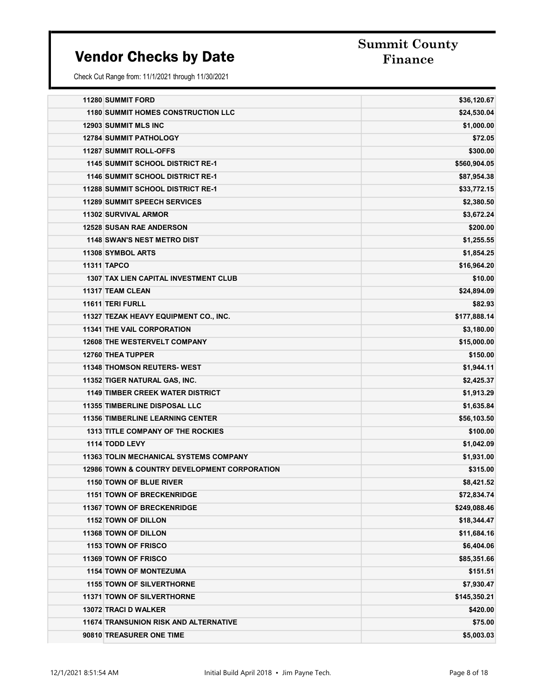### Summit County

| <b>11280 SUMMIT FORD</b>                                | \$36,120.67  |
|---------------------------------------------------------|--------------|
| <b>1180 SUMMIT HOMES CONSTRUCTION LLC</b>               | \$24,530.04  |
| <b>12903 SUMMIT MLS INC</b>                             | \$1,000.00   |
| <b>12784 SUMMIT PATHOLOGY</b>                           | \$72.05      |
| <b>11287 SUMMIT ROLL-OFFS</b>                           | \$300.00     |
| <b>1145 SUMMIT SCHOOL DISTRICT RE-1</b>                 | \$560,904.05 |
| <b>1146 SUMMIT SCHOOL DISTRICT RE-1</b>                 | \$87,954.38  |
| <b>11288 SUMMIT SCHOOL DISTRICT RE-1</b>                | \$33,772.15  |
| <b>11289 SUMMIT SPEECH SERVICES</b>                     | \$2,380.50   |
| <b>11302 SURVIVAL ARMOR</b>                             | \$3,672.24   |
| <b>12528 SUSAN RAE ANDERSON</b>                         | \$200.00     |
| <b>1148 SWAN'S NEST METRO DIST</b>                      | \$1,255.55   |
| 11308 SYMBOL ARTS                                       | \$1,854.25   |
| 11311 TAPCO                                             | \$16,964.20  |
| <b>1307 TAX LIEN CAPITAL INVESTMENT CLUB</b>            | \$10.00      |
| 11317 TEAM CLEAN                                        | \$24,894.09  |
| 11611 TERI FURLL                                        | \$82.93      |
| 11327 TEZAK HEAVY EQUIPMENT CO., INC.                   | \$177,888.14 |
| <b>11341 THE VAIL CORPORATION</b>                       | \$3,180.00   |
| <b>12608 THE WESTERVELT COMPANY</b>                     | \$15,000.00  |
| 12760 THEA TUPPER                                       | \$150.00     |
| <b>11348 THOMSON REUTERS- WEST</b>                      | \$1,944.11   |
| 11352 TIGER NATURAL GAS, INC.                           | \$2,425.37   |
| <b>1149 TIMBER CREEK WATER DISTRICT</b>                 | \$1,913.29   |
| <b>11355 TIMBERLINE DISPOSAL LLC</b>                    | \$1,635.84   |
| <b>11356 TIMBERLINE LEARNING CENTER</b>                 | \$56,103.50  |
| <b>1313 TITLE COMPANY OF THE ROCKIES</b>                | \$100.00     |
| 1114 TODD LEVY                                          | \$1,042.09   |
| <b>11363 TOLIN MECHANICAL SYSTEMS COMPANY</b>           | \$1,931.00   |
| <b>12986 TOWN &amp; COUNTRY DEVELOPMENT CORPORATION</b> | \$315.00     |
| 1150 TOWN OF BLUE RIVER                                 | \$8,421.52   |
| <b>1151 TOWN OF BRECKENRIDGE</b>                        | \$72,834.74  |
| <b>11367 TOWN OF BRECKENRIDGE</b>                       | \$249,088.46 |
| 1152 TOWN OF DILLON                                     | \$18,344.47  |
| <b>11368 TOWN OF DILLON</b>                             | \$11,684.16  |
| 1153 TOWN OF FRISCO                                     | \$6,404.06   |
| 11369 TOWN OF FRISCO                                    | \$85,351.66  |
| <b>1154 TOWN OF MONTEZUMA</b>                           | \$151.51     |
| <b>1155 TOWN OF SILVERTHORNE</b>                        | \$7,930.47   |
| <b>11371 TOWN OF SILVERTHORNE</b>                       | \$145,350.21 |
| 13072 TRACI D WALKER                                    | \$420.00     |
| <b>11674 TRANSUNION RISK AND ALTERNATIVE</b>            | \$75.00      |
| 90810 TREASURER ONE TIME                                | \$5,003.03   |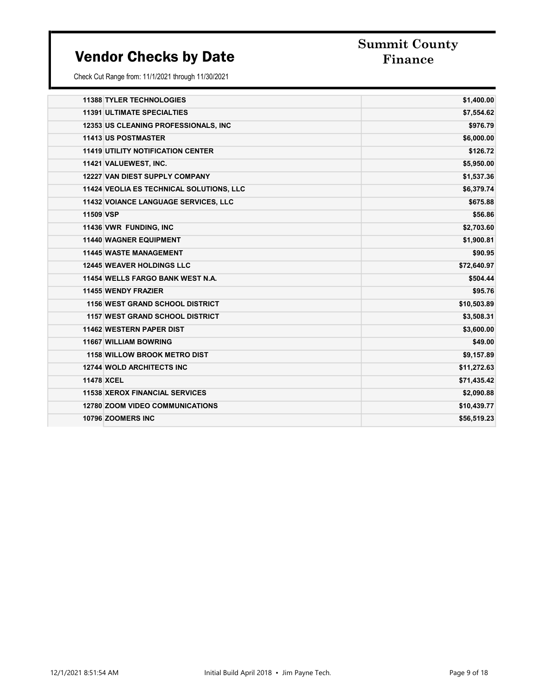# Summit County

|                   | <b>11388 TYLER TECHNOLOGIES</b>                 | \$1,400.00  |
|-------------------|-------------------------------------------------|-------------|
|                   | <b>11391 ULTIMATE SPECIALTIES</b>               | \$7,554.62  |
|                   | 12353 US CLEANING PROFESSIONALS, INC.           | \$976.79    |
|                   | <b>11413 US POSTMASTER</b>                      | \$6,000.00  |
|                   | <b>11419 UTILITY NOTIFICATION CENTER</b>        | \$126.72    |
|                   | 11421 VALUEWEST, INC.                           | \$5,950.00  |
|                   | <b>12227 VAN DIEST SUPPLY COMPANY</b>           | \$1,537.36  |
|                   | <b>11424 VEOLIA ES TECHNICAL SOLUTIONS, LLC</b> | \$6,379.74  |
|                   | 11432 VOIANCE LANGUAGE SERVICES, LLC            | \$675.88    |
| 11509 VSP         |                                                 | \$56.86     |
|                   | 11436 VWR FUNDING, INC                          | \$2,703.60  |
|                   | <b>11440 WAGNER EQUIPMENT</b>                   | \$1,900.81  |
|                   | <b>11445 WASTE MANAGEMENT</b>                   | \$90.95     |
|                   | <b>12445 WEAVER HOLDINGS LLC</b>                | \$72,640.97 |
|                   | 11454 WELLS FARGO BANK WEST N.A.                | \$504.44    |
|                   | <b>11455 WENDY FRAZIER</b>                      | \$95.76     |
|                   | <b>1156 WEST GRAND SCHOOL DISTRICT</b>          | \$10,503.89 |
|                   | <b>1157 WEST GRAND SCHOOL DISTRICT</b>          | \$3,508.31  |
|                   | <b>11462 WESTERN PAPER DIST</b>                 | \$3,600.00  |
|                   | 11667 WILLIAM BOWRING                           | \$49.00     |
|                   | <b>1158 WILLOW BROOK METRO DIST</b>             | \$9,157.89  |
|                   | <b>12744 WOLD ARCHITECTS INC</b>                | \$11,272.63 |
| <b>11478 XCEL</b> |                                                 | \$71,435.42 |
|                   | <b>11538 XEROX FINANCIAL SERVICES</b>           | \$2,090.88  |
|                   | <b>12780 ZOOM VIDEO COMMUNICATIONS</b>          | \$10,439.77 |
|                   | 10796 ZOOMERS INC                               | \$56,519.23 |
|                   |                                                 |             |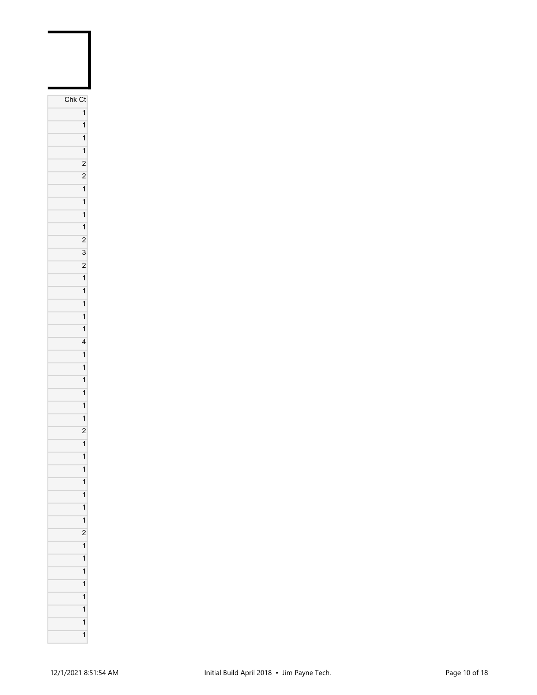| Chk Ct                  |
|-------------------------|
| 1                       |
| 1                       |
| $\overline{\mathbf{1}}$ |
| $\overline{\mathbf{1}}$ |
| $\overline{c}$          |
| $\overline{c}$          |
| $\overline{1}$          |
| $\overline{\mathbf{1}}$ |
| $\overline{1}$          |
| 1                       |
| $\overline{c}$          |
| 3                       |
| $\overline{c}$          |
| $\mathbf{1}$            |
| $\overline{\mathbf{1}}$ |
| $\overline{1}$          |
| $\overline{\mathbf{1}}$ |
| $\overline{1}$          |
| $\overline{\mathbf{r}}$ |
| $\overline{\mathbf{1}}$ |
| $\overline{1}$          |
| $\overline{\mathbf{1}}$ |
| $\overline{\mathbf{1}}$ |
| 1                       |
| 1                       |
| $\overline{c}$          |
| 1                       |
| 1                       |
| $\overline{\mathbf{1}}$ |
| $\mathbf{1}$            |
| 1                       |
| 1                       |
| 1                       |
| $\overline{c}$          |
| $\overline{1}$          |
| 1                       |
| 1                       |
| 1                       |
| 1                       |
| 1                       |
| 1                       |
| $\overline{\mathbf{1}}$ |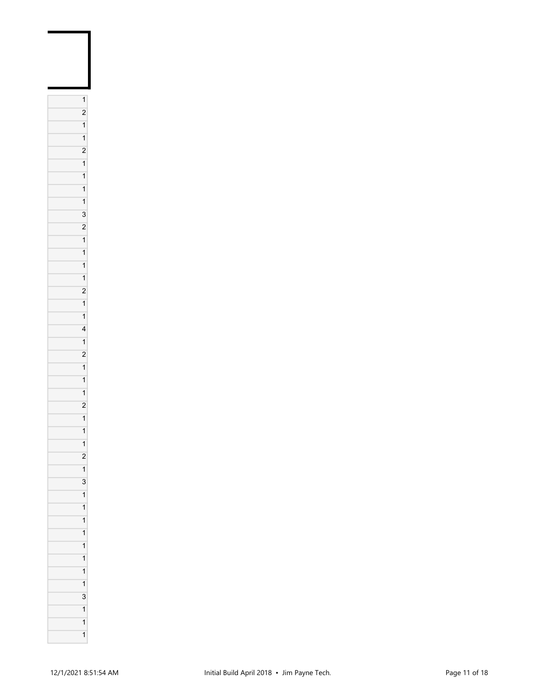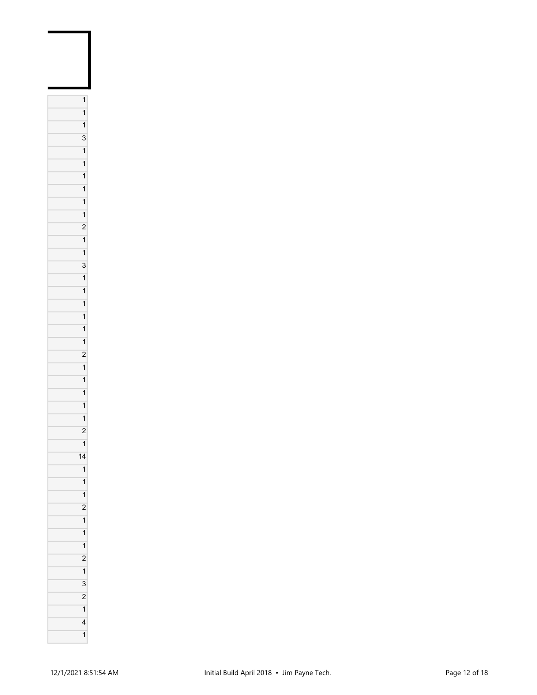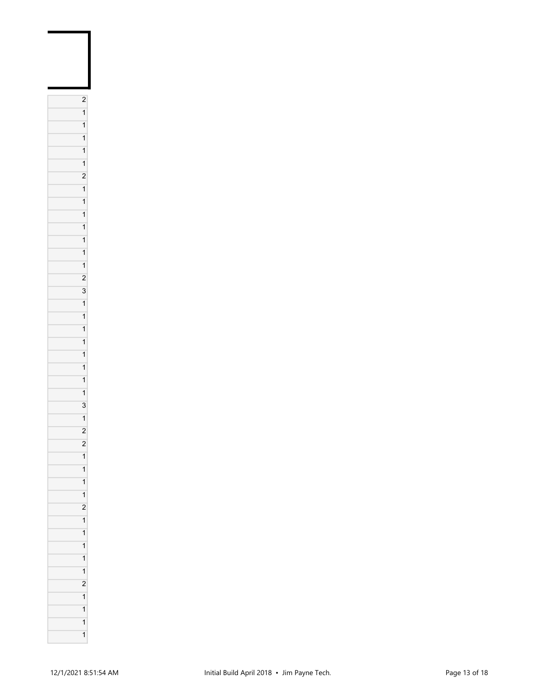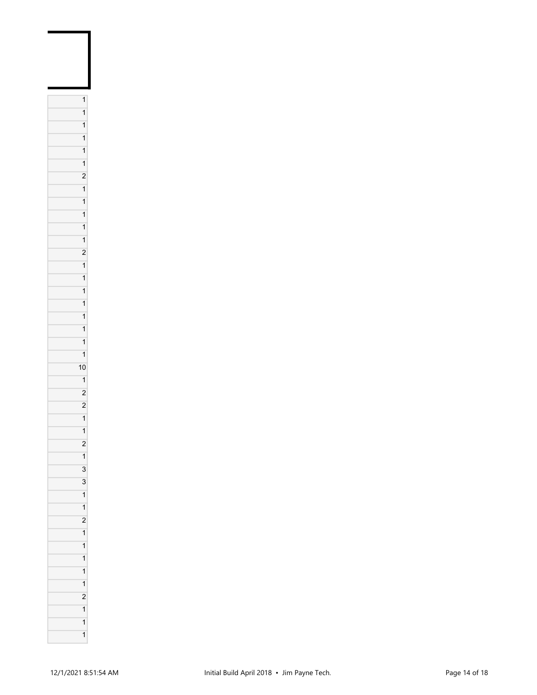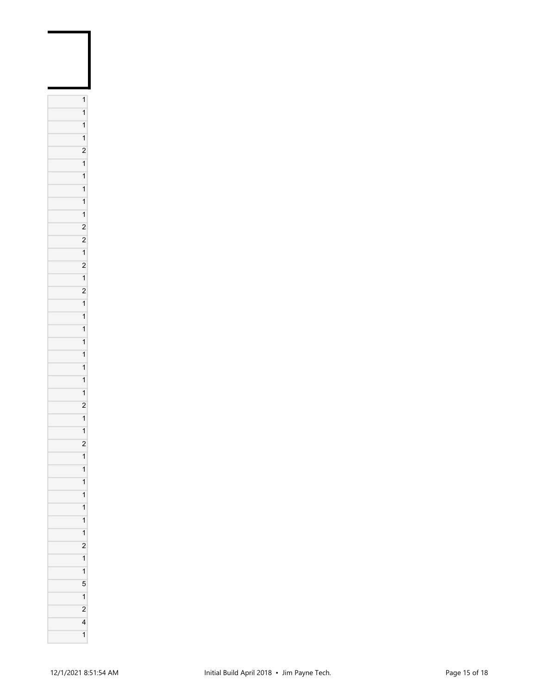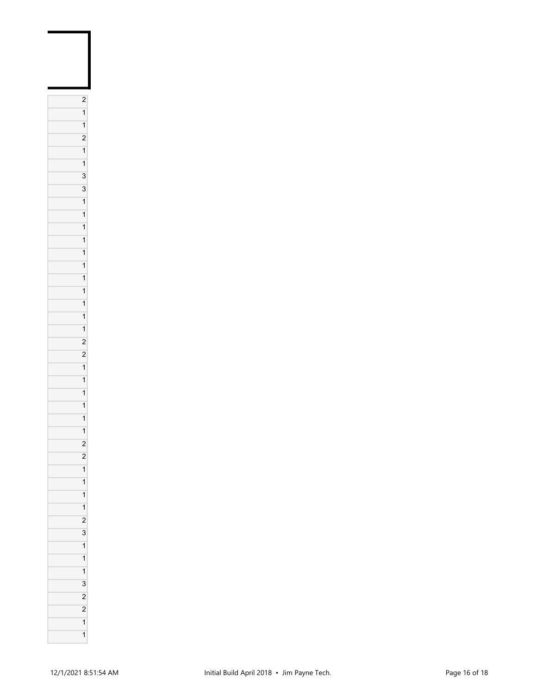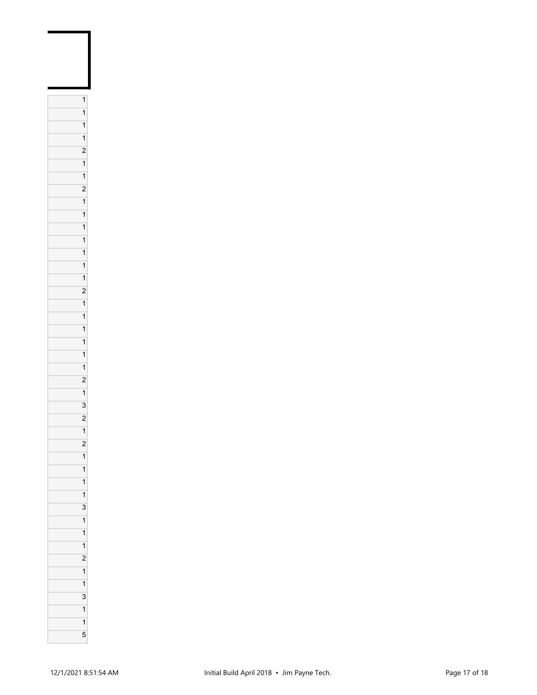